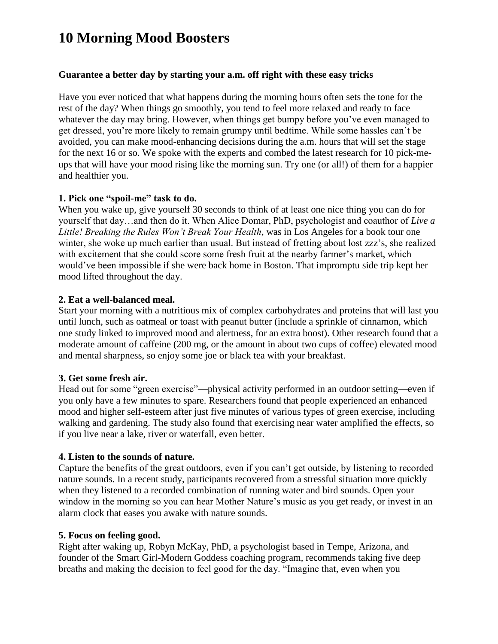# **10 Morning Mood Boosters**

### **Guarantee a better day by starting your a.m. off right with these easy tricks**

Have you ever noticed that what happens during the morning hours often sets the tone for the rest of the day? When things go smoothly, you tend to feel more relaxed and ready to face whatever the day may bring. However, when things get bumpy before you've even managed to get dressed, you're more likely to remain grumpy until bedtime. While some hassles can't be avoided, you can make mood-enhancing decisions during the a.m. hours that will set the stage for the next 16 or so. We spoke with the experts and combed the latest research for 10 pick-meups that will have your mood rising like the morning sun. Try one (or all!) of them for a happier and healthier you.

## **1. Pick one "spoil-me" task to do.**

When you wake up, give yourself 30 seconds to think of at least one nice thing you can do for yourself that day…and then do it. When Alice Domar, PhD, psychologist and coauthor of *Live a Little! Breaking the Rules Won't Break Your Health*, was in Los Angeles for a book tour one winter, she woke up much earlier than usual. But instead of fretting about lost zzz's, she realized with excitement that she could score some fresh fruit at the nearby farmer's market, which would've been impossible if she were back home in Boston. That impromptu side trip kept her mood lifted throughout the day.

# **2. Eat a well-balanced meal.**

Start your morning with a nutritious mix of complex carbohydrates and proteins that will last you until lunch, such as oatmeal or toast with peanut butter (include a sprinkle of cinnamon, which one study linked to improved mood and alertness, for an extra boost). Other research found that a moderate amount of caffeine (200 mg, or the amount in about two cups of coffee) elevated mood and mental sharpness, so enjoy some joe or black tea with your breakfast.

# **3. Get some fresh air.**

Head out for some "green exercise"—physical activity performed in an outdoor setting—even if you only have a few minutes to spare. Researchers found that people experienced an enhanced mood and higher self-esteem after just five minutes of various types of green exercise, including walking and gardening. The study also found that exercising near water amplified the effects, so if you live near a lake, river or waterfall, even better.

# **4. Listen to the sounds of nature.**

Capture the benefits of the great outdoors, even if you can't get outside, by listening to recorded nature sounds. In a recent study, participants recovered from a stressful situation more quickly when they listened to a recorded combination of running water and bird sounds. Open your window in the morning so you can hear Mother Nature's music as you get ready, or invest in an alarm clock that eases you awake with nature sounds.

### **5. Focus on feeling good.**

Right after waking up, Robyn McKay, PhD, a psychologist based in Tempe, Arizona, and founder of the Smart Girl-Modern Goddess coaching program, recommends taking five deep breaths and making the decision to feel good for the day. "Imagine that, even when you